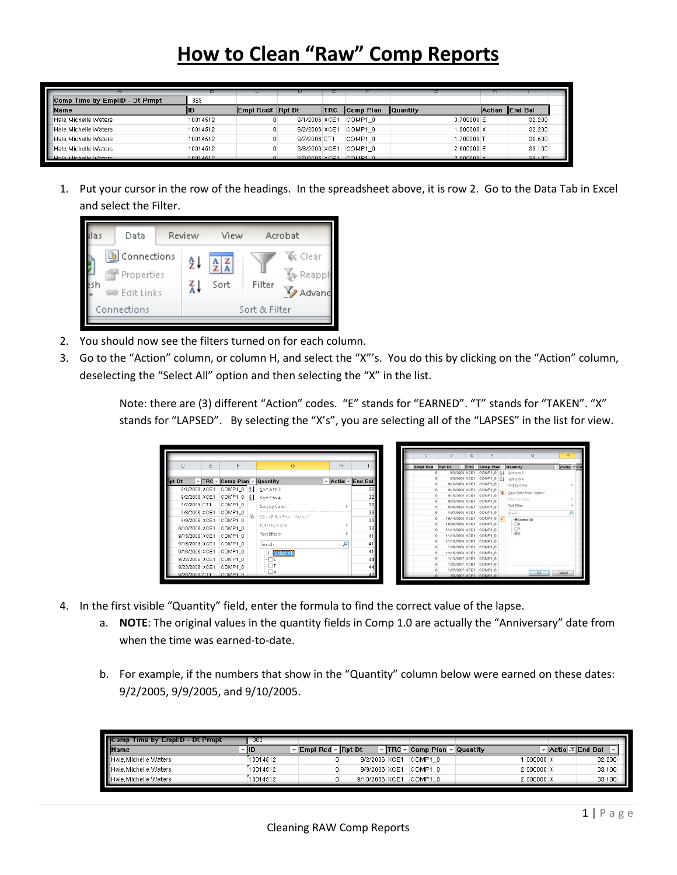## **How to Clean "Raw" Comp Reports**

|                                | в        |                  | Ð             |             |             | □                 |                |
|--------------------------------|----------|------------------|---------------|-------------|-------------|-------------------|----------------|
| Comp Time by EmplID - Dt Prmpt | 383      |                  |               |             |             |                   |                |
| <b>Name</b>                    | lid      | Empl Rcd# Rpt Dt |               | <b>ITRC</b> | Comp Plan   | <b>Quantity</b>   | Action End Bal |
| Hale Michelle Waters           | 10014512 |                  | 9/1/2006 XCE1 |             | COMP1 0     | 3.700000E         | 32.200         |
| Hale, Michelle Waters          | 10014512 |                  | 9/2/2006 XCE1 |             | COMP1 0     | $1.000000 \times$ | 32.200         |
| Hale. Michelle Waters          | 10014512 |                  | 9/7/2006 CT1  |             | COMP1 0     | 1,700000 T        | 30.500         |
| Hale. Michelle Waters          | 10014512 |                  | 9/8/2006 XCE1 |             | COMP1 0     | 2.600000E         | 33,100         |
| Hale Michelle Waters           | 10011512 |                  | A/A/2006 YOF1 |             | $COMP1$ $0$ | $2.000000 \times$ | 32, 100        |

1. Put your cursor in the row of the headings. In the spreadsheet above, it is row 2. Go to the Data Tab in Excel and select the Filter.



- 2. You should now see the filters turned on for each column.
- 3. Go to the "Action" column, or column H, and select the "X"'s. You do this by clicking on the "Action" column, deselecting the "Select All" option and then selecting the "X" in the list.

Note: there are (3) different "Action" codes. "E" stands for "EARNED". "T" stands for "TAKEN". "X" stands for "LAPSED". By selecting the "X's", you are selecting all of the "LAPSES" in the list for view.

|        |                |                 |                           |                            |         |                                                 |                     |                | D.<br>ε                                          |                    | $\alpha$                            |                  |
|--------|----------------|-----------------|---------------------------|----------------------------|---------|-------------------------------------------------|---------------------|----------------|--------------------------------------------------|--------------------|-------------------------------------|------------------|
| D      |                | E               | F                         | G                          | H       |                                                 | - Empi Red - Rpt Dt |                |                                                  |                    | - TRC - Comp Plan - Quantity        | $-$ Action-T L n |
|        |                |                 |                           |                            |         |                                                 |                     |                |                                                  |                    | 9/2/2006 XCE1 COMP1 0 01 Sort Ato Z |                  |
| Rpt Dt |                | $~\text{-}$ TRC | Comp Plan $\vee$ Quantity |                            |         | $\triangledown$ Action $\triangledown$ End Ball |                     |                | 9/9/2006 XCE1 COMP1_0                            |                    | A SoftZtoA                          |                  |
|        | 9/1/2006 XCE1  |                 | COMP1_0   ĝ↓ Sort A to Z  |                            |         | 32                                              |                     | $\theta$       | 9/10/2006 XCE1 COMP1 0<br>9/15/2006 XCE1 COMP1 0 |                    | Sort by Color                       |                  |
|        |                |                 |                           |                            |         |                                                 |                     |                | 9/16/2006 XCE1                                   | COMP1.0            | Clear Filter From "Action"          |                  |
|        | 9/2/2006 XCE1  |                 | COMP1_0                   | $\frac{71}{4}$ Sort Z to A |         | 32                                              |                     | $\overline{0}$ | 9/23/2006 XCE1 COMP1_0                           |                    | Fifter by Color                     |                  |
|        | 9/7/2006 CT1   |                 | COMP1 0                   | Sort by Color              |         | 30                                              |                     |                | 9/30/2006 XCE1 COMP1_0                           |                    | Text Eilters                        |                  |
|        | 9/8/2006 XCE1  |                 | COMP1 0                   |                            |         | 33                                              |                     |                | 10/7/2006 XCE1                                   | COMP1 0            | Search                              |                  |
|        | 9/9/2006 XCE1  |                 | COMP1 0                   | Clear Filter From "Action" |         | 33                                              |                     |                | 10/14/2006 XCE1                                  | COMP1 0            | $\overline{d}$<br>30 (Select AD)    |                  |
|        | 9/10/2006 XCE1 |                 | COMP1 0                   | Filter by Color            |         | 33                                              |                     |                | 10/28/2006 XCE1                                  | COMP1_0            | $-\Box t$                           |                  |
|        |                |                 |                           | Text Eilters               |         |                                                 |                     |                | 11/11/2006 XCE1<br>11/18/2006 XCE1               | COMP1_0<br>COMP1 0 | $\frac{1}{2}$                       |                  |
|        | 9/15/2006 XCE1 |                 | COMP1 0                   |                            |         | 41                                              |                     |                | 11/19/2006 XCE1                                  | COMP1 0            |                                     |                  |
|        | 9/15/2006 XCE1 |                 | COMP1 0                   | Search                     | $\circ$ | 41                                              |                     |                | 12/9/2006 XCE1                                   | COMP1 0            |                                     |                  |
|        | 9/16/2006 XCE1 |                 | COMP1 0                   | - □ (Select All)           |         | 41                                              |                     |                | 12/16/2006 XCE1                                  | COMP1_0            |                                     |                  |
|        | 9/22/2006 XCE1 |                 | COMP1 0                   | ⊢⊟ε                        |         | 44                                              |                     |                | 1/13/2007 XCE1                                   | COMP1_0            |                                     |                  |
|        | 9/23/2006 XCE1 |                 | COMP1 0                   | ⊢⊟τ                        |         | 44                                              |                     |                | 1/20/2007 XCE1                                   | COMP1_0            |                                     |                  |
|        | 9/26/2006 CT1  |                 | COMP1 0                   | ⊑⊟x                        |         |                                                 |                     |                | 1/27/2007 XCE1 COMP1_0<br>2/3/2007 XCE1 COMP1 0  |                    | öŁ                                  | Cancel           |

- 4. In the first visible "Quantity" field, enter the formula to find the correct value of the lapse.
	- a. **NOTE**: The original values in the quantity fields in Comp 1.0 are actually the "Anniversary" date from when the time was earned-to-date.
	- b. For example, if the numbers that show in the "Quantity" column below were earned on these dates: 9/2/2005, 9/9/2005, and 9/10/2005.

| <b>Comp Time by EmpIID - Dt Prmpt</b> | 383        |                                                              |                |                                        |                    |                  |
|---------------------------------------|------------|--------------------------------------------------------------|----------------|----------------------------------------|--------------------|------------------|
| <b>I</b> Name                         | <b>IID</b> | $\mathsf{Empl}\ \mathsf{Rcd} \neq \mathsf{Rpt}\ \mathsf{Dt}$ |                | $\sqrt{TRC}$ $\vee$ $\sqrt{Comp}$ Plan | <b>Quantity</b>    | Actiol T End Bal |
| Hale Michelle Waters                  | 10014512   |                                                              | 9/2/2006 XCE1  | COMP1 0                                | $.000000\times$    | 32.200           |
| Hale Michelle Waters                  | 10014512   |                                                              | 9/9/2006 XCE1  | COMP1 0                                | $2.0000000 \times$ | 33.100           |
| Hale, Michelle Waters                 | 10014512   |                                                              | 9/10/2006 XCE1 | COMP1 0                                | $2.0000000 \times$ | 33.100           |